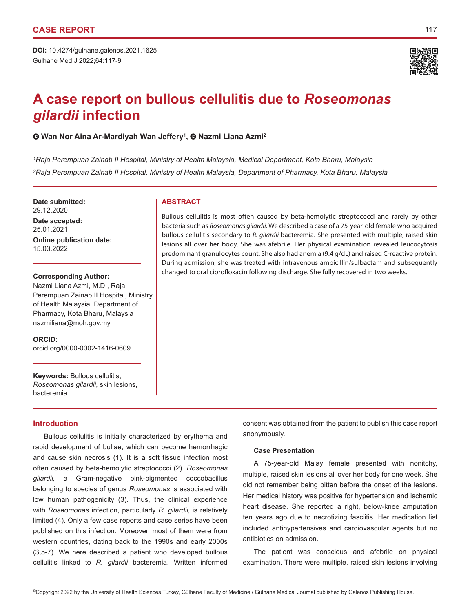

# **A case report on bullous cellulitis due to** *Roseomonas gilardii* **infection**

**WanNor Aina Ar-Mardiyah Wan Jeffery<sup>1</sup>, © Nazmi Liana Azmi<sup>2</sup>** 

*1Raja Perempuan Zainab II Hospital, Ministry of Health Malaysia, Medical Department, Kota Bharu, Malaysia 2Raja Perempuan Zainab II Hospital, Ministry of Health Malaysia, Department of Pharmacy, Kota Bharu, Malaysia*

Date submitted: **ABSTRACT** 29.12.2020

**Date accepted:** 25.01.2021

**Online publication date:** 15.03.2022

# **Corresponding Author:**

Nazmi Liana Azmi, M.D., Raja Perempuan Zainab II Hospital, Ministry of Health Malaysia, Department of Pharmacy, Kota Bharu, Malaysia nazmiliana@moh.gov.my

**ORCID:**  orcid.org/0000-0002-1416-0609

**Keywords:** Bullous cellulitis, *Roseomonas gilardii*, skin lesions, bacteremia

# **Introduction**

Bullous cellulitis is initially characterized by erythema and rapid development of bullae, which can become hemorrhagic and cause skin necrosis (1). It is a soft tissue infection most often caused by beta-hemolytic streptococci (2). *Roseomonas gilardii,* a Gram-negative pink-pigmented coccobacillus belonging to species of genus *Roseomonas* is associated with low human pathogenicity (3). Thus, the clinical experience with *Roseomonas* infection, particularly *R. gilardii,* is relatively limited (4). Only a few case reports and case series have been published on this infection. Moreover, most of them were from western countries, dating back to the 1990s and early 2000s (3,5-7). We here described a patient who developed bullous cellulitis linked to *R. gilardii* bacteremia. Written informed

Bullous cellulitis is most often caused by beta-hemolytic streptococci and rarely by other bacteria such as *Roseomonas gilardii*. We described a case of a 75-year-old female who acquired bullous cellulitis secondary to *R. gilardii* bacteremia. She presented with multiple, raised skin lesions all over her body. She was afebrile. Her physical examination revealed leucocytosis predominant granulocytes count. She also had anemia (9.4 g/dL) and raised C-reactive protein. During admission, she was treated with intravenous ampicillin/sulbactam and subsequently changed to oral ciprofloxacin following discharge. She fully recovered in two weeks.

> consent was obtained from the patient to publish this case report anonymously.

# **Case Presentation**

A 75-year-old Malay female presented with nonitchy, multiple, raised skin lesions all over her body for one week. She did not remember being bitten before the onset of the lesions. Her medical history was positive for hypertension and ischemic heart disease. She reported a right, below-knee amputation ten years ago due to necrotizing fasciitis. Her medication list included antihypertensives and cardiovascular agents but no antibiotics on admission.

The patient was conscious and afebrile on physical examination. There were multiple, raised skin lesions involving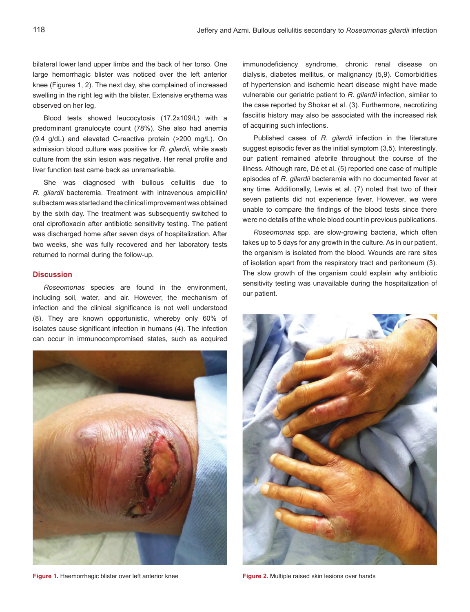bilateral lower land upper limbs and the back of her torso. One large hemorrhagic blister was noticed over the left anterior knee (Figures 1, 2). The next day, she complained of increased swelling in the right leg with the blister. Extensive erythema was observed on her leg.

Blood tests showed leucocytosis (17.2x109/L) with a predominant granulocyte count (78%). She also had anemia (9.4 g/dL) and elevated C-reactive protein (>200 mg/L). On admission blood culture was positive for *R. gilardii,* while swab culture from the skin lesion was negative. Her renal profile and liver function test came back as unremarkable.

She was diagnosed with bullous cellulitis due to *R. gilardii* bacteremia. Treatment with intravenous ampicillin/ sulbactam was started and the clinical improvement was obtained by the sixth day. The treatment was subsequently switched to oral ciprofloxacin after antibiotic sensitivity testing. The patient was discharged home after seven days of hospitalization. After two weeks, she was fully recovered and her laboratory tests returned to normal during the follow-up.

#### **Discussion**

*Roseomonas* species are found in the environment, including soil, water, and air. However, the mechanism of infection and the clinical significance is not well understood (8). They are known opportunistic, whereby only 60% of isolates cause significant infection in humans (4). The infection can occur in immunocompromised states, such as acquired



**Figure 1.** Haemorrhagic blister over left anterior knee **Figure 2.** Multiple raised skin lesions over hands

immunodeficiency syndrome, chronic renal disease on dialysis, diabetes mellitus, or malignancy (5,9). Comorbidities of hypertension and ischemic heart disease might have made vulnerable our geriatric patient to *R. gilardii* infection, similar to the case reported by Shokar et al. (3). Furthermore, necrotizing fasciitis history may also be associated with the increased risk of acquiring such infections.

Published cases of *R. gilardii* infection in the literature suggest episodic fever as the initial symptom (3,5). Interestingly, our patient remained afebrile throughout the course of the illness. Although rare, Dé et al. (5) reported one case of multiple episodes of *R. gilardii* bacteremia with no documented fever at any time. Additionally, Lewis et al. (7) noted that two of their seven patients did not experience fever. However, we were unable to compare the findings of the blood tests since there were no details of the whole blood count in previous publications.

*Roseomonas* spp. are slow-growing bacteria, which often takes up to 5 days for any growth in the culture. As in our patient, the organism is isolated from the blood. Wounds are rare sites of isolation apart from the respiratory tract and peritoneum (3). The slow growth of the organism could explain why antibiotic sensitivity testing was unavailable during the hospitalization of our patient.